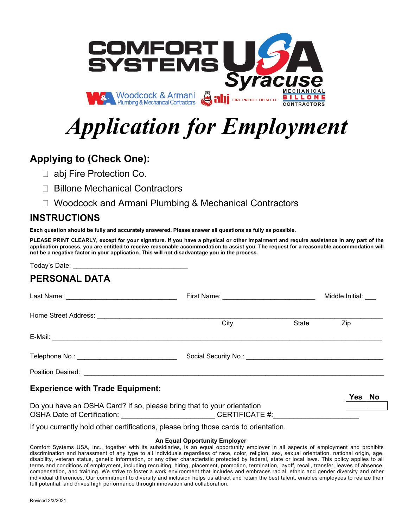

# *Application for Employment*

# **Applying to (Check One):**

- □ abj Fire Protection Co.
- □ Billone Mechanical Contractors
- □ Woodcock and Armani Plumbing & Mechanical Contractors

### **INSTRUCTIONS**

**Each question should be fully and accurately answered. Please answer all questions as fully as possible.** 

**PLEASE PRINT CLEARLY, except for your signature. If you have a physical or other impairment and require assistance in any part of the application process, you are entitled to receive reasonable accommodation to assist you. The request for a reasonable accommodation will not be a negative factor in your application. This will not disadvantage you in the process.**

Today's Date: **PERSONAL DATA** Last Name: \_\_\_\_\_\_\_\_\_\_\_\_\_\_\_\_\_\_\_\_\_\_\_\_\_\_\_\_\_\_ First Name: \_\_\_\_\_\_\_\_\_\_\_\_\_\_\_\_\_\_\_\_\_\_\_\_\_ Middle Initial: \_\_\_ Home Street Address: \_\_\_\_\_\_\_\_\_\_\_\_\_\_\_\_\_\_\_\_\_\_\_\_\_\_\_\_\_\_\_\_\_\_\_\_\_\_\_\_\_\_\_\_\_\_\_\_\_\_\_\_\_\_\_\_\_\_\_\_\_\_\_\_\_\_\_\_\_\_\_\_\_\_\_\_\_ City State Zip E-Mail: \_\_\_\_\_\_\_\_\_\_\_\_\_\_\_\_\_\_\_\_\_\_\_\_\_\_\_\_\_\_\_\_\_\_\_\_\_\_\_\_\_\_\_\_\_\_\_\_\_\_\_\_\_\_\_\_\_\_\_\_\_\_\_\_\_\_\_\_\_\_\_\_\_\_\_\_\_\_\_\_\_\_\_\_\_\_\_\_\_ Telephone No.: \_\_\_\_\_\_\_\_\_\_\_\_\_\_\_\_\_\_\_\_\_\_\_\_\_\_\_ Social Security No.: \_\_\_\_\_\_\_\_\_\_\_\_\_\_\_\_\_\_\_\_\_\_\_\_\_\_\_\_\_\_\_\_\_\_\_\_\_ Position Desired: \_\_\_\_\_\_\_\_\_\_\_\_\_\_\_\_\_\_\_\_\_\_\_\_\_\_\_\_\_\_\_\_\_\_\_\_\_\_\_\_\_\_\_\_\_\_\_\_\_\_\_\_\_\_\_\_\_\_\_\_\_\_\_\_\_\_\_\_\_\_\_\_\_\_\_\_\_\_\_\_\_ **Experience with Trade Equipment: Yes No** Do you have an OSHA Card? If so, please bring that to your orientation

OSHA Date of Certification: example of CERTIFICATE #: If you currently hold other certifications, please bring those cards to orientation.

#### **An Equal Opportunity Employer**

Comfort Systems USA, Inc., together with its subsidiaries, is an equal opportunity employer in all aspects of employment and prohibits discrimination and harassment of any type to all individuals regardless of race, color, religion, sex, sexual orientation, national origin, age, disability, veteran status, genetic information, or any other characteristic protected by federal, state or local laws. This policy applies to all terms and conditions of employment, including recruiting, hiring, placement, promotion, termination, layoff, recall, transfer, leaves of absence, compensation, and training. We strive to foster a work environment that includes and embraces racial, ethnic and gender diversity and other individual differences. Our commitment to diversity and inclusion helps us attract and retain the best talent, enables employees to realize their full potential, and drives high performance through innovation and collaboration.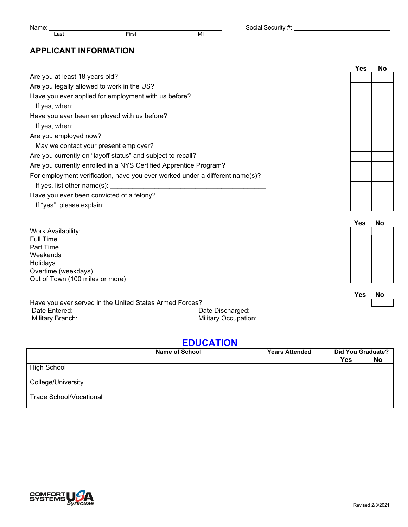Name: Last First First MI Social Security #: Last Case Social Security #: Last Case Social Security #: Last Case Social Security #: Last Case Social Security #: Last Case Social Security #: Last Case Social Security #: Las

#### **APPLICANT INFORMATION**

|                                                                              | <b>Yes</b> | <b>No</b> |
|------------------------------------------------------------------------------|------------|-----------|
| Are you at least 18 years old?                                               |            |           |
| Are you legally allowed to work in the US?                                   |            |           |
| Have you ever applied for employment with us before?                         |            |           |
| If yes, when:                                                                |            |           |
| Have you ever been employed with us before?                                  |            |           |
| If yes, when:                                                                |            |           |
| Are you employed now?                                                        |            |           |
| May we contact your present employer?                                        |            |           |
| Are you currently on "layoff status" and subject to recall?                  |            |           |
| Are you currently enrolled in a NYS Certified Apprentice Program?            |            |           |
| For employment verification, have you ever worked under a different name(s)? |            |           |
| If yes, list other name(s): $\frac{1}{2}$                                    |            |           |
| Have you ever been convicted of a felony?                                    |            |           |
| If "yes", please explain:                                                    |            |           |
|                                                                              |            |           |
|                                                                              | Yes        | <b>No</b> |
| Work Availability:<br><b>Full Time</b>                                       |            |           |
| Part Time                                                                    |            |           |
| Weekends                                                                     |            |           |
| Holidavs                                                                     |            |           |

Holidays Overtime (weekdays) Out of Town (100 miles or more)

**Yes No**

| Have you ever served in the United States Armed Forces? |                             |
|---------------------------------------------------------|-----------------------------|
| Date Entered:                                           | Date Discharged:            |
| Military Branch:                                        | <b>Military Occupation:</b> |

### **EDUCATION**

|                         | <b>Name of School</b> | <b>Years Attended</b> | Did You Graduate?<br><b>Yes</b> | No |
|-------------------------|-----------------------|-----------------------|---------------------------------|----|
| High School             |                       |                       |                                 |    |
| College/University      |                       |                       |                                 |    |
| Trade School/Vocational |                       |                       |                                 |    |

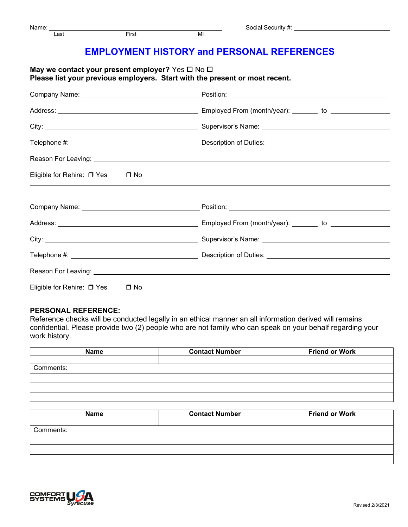## **EMPLOYMENT HISTORY and PERSONAL REFERENCES**

| May we contact your present employer? Yes $\square$ No $\square$            |  |
|-----------------------------------------------------------------------------|--|
| Please list your previous employers. Start with the present or most recent. |  |

| Eligible for Rehire: □ Yes □ No            |  |
|--------------------------------------------|--|
|                                            |  |
|                                            |  |
|                                            |  |
|                                            |  |
|                                            |  |
|                                            |  |
| Eligible for Rehire: □ Yes<br>$\square$ No |  |

#### **PERSONAL REFERENCE:**

Reference checks will be conducted legally in an ethical manner an all information derived will remains confidential. Please provide two (2) people who are not family who can speak on your behalf regarding your work history.

| <b>Name</b> | <b>Contact Number</b> | <b>Friend or Work</b> |
|-------------|-----------------------|-----------------------|
|             |                       |                       |
| Comments:   |                       |                       |
|             |                       |                       |
|             |                       |                       |
|             |                       |                       |
|             |                       |                       |

| <b>Name</b> | <b>Contact Number</b> | <b>Friend or Work</b> |
|-------------|-----------------------|-----------------------|
|             |                       |                       |
| Comments:   |                       |                       |
|             |                       |                       |
|             |                       |                       |
|             |                       |                       |
|             |                       |                       |

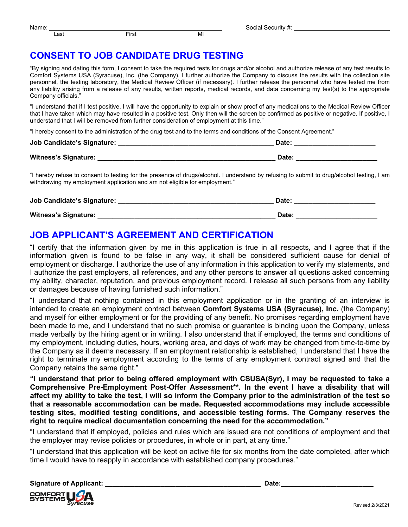## **CONSENT TO JOB CANDIDATE DRUG TESTING**

"By signing and dating this form, I consent to take the required tests for drugs and/or alcohol and authorize release of any test results to Comfort Systems USA (Syracuse), Inc. (the Company). I further authorize the Company to discuss the results with the collection site personnel, the testing laboratory, the Medical Review Officer (if necessary). I further release the personnel who have tested me from any liability arising from a release of any results, written reports, medical records, and data concerning my test(s) to the appropriate Company officials."

"I understand that if I test positive, I will have the opportunity to explain or show proof of any medications to the Medical Review Officer that I have taken which may have resulted in a positive test. Only then will the screen be confirmed as positive or negative. If positive, I understand that I will be removed from further consideration of employment at this time."

"I hereby consent to the administration of the drug test and to the terms and conditions of the Consent Agreement."

| Job Candidate's Signature: | Date: |
|----------------------------|-------|
| Witness's Signature:       | Date: |

"I hereby refuse to consent to testing for the presence of drugs/alcohol. I understand by refusing to submit to drug/alcohol testing, I am withdrawing my employment application and am not eligible for employment."

| Job Candidate's Signature: | <b>Date</b> |
|----------------------------|-------------|
| Witness's Signature:       | Date:       |

## **JOB APPLICANT'S AGREEMENT AND CERTIFICATION**

"I certify that the information given by me in this application is true in all respects, and I agree that if the information given is found to be false in any way, it shall be considered sufficient cause for denial of employment or discharge. I authorize the use of any information in this application to verify my statements, and I authorize the past employers, all references, and any other persons to answer all questions asked concerning my ability, character, reputation, and previous employment record. I release all such persons from any liability or damages because of having furnished such information."

"I understand that nothing contained in this employment application or in the granting of an interview is intended to create an employment contract between **Comfort Systems USA (Syracuse), Inc.** (the Company) and myself for either employment or for the providing of any benefit. No promises regarding employment have been made to me, and I understand that no such promise or guarantee is binding upon the Company, unless made verbally by the hiring agent or in writing. I also understand that if employed, the terms and conditions of my employment, including duties, hours, working area, and days of work may be changed from time-to-time by the Company as it deems necessary. If an employment relationship is established, I understand that I have the right to terminate my employment according to the terms of any employment contract signed and that the Company retains the same right."

**"I understand that prior to being offered employment with CSUSA(Syr), I may be requested to take a Comprehensive Pre-Employment Post-Offer Assessment\*\*. In the event I have a disability that will affect my ability to take the test, I will so inform the Company prior to the administration of the test so that a reasonable accommodation can be made. Requested accommodations may include accessible testing sites, modified testing conditions, and accessible testing forms. The Company reserves the right to require medical documentation concerning the need for the accommodation."**

"I understand that if employed, policies and rules which are issued are not conditions of employment and that the employer may revise policies or procedures, in whole or in part, at any time."

"I understand that this application will be kept on active file for six months from the date completed, after which time I would have to reapply in accordance with established company procedures."